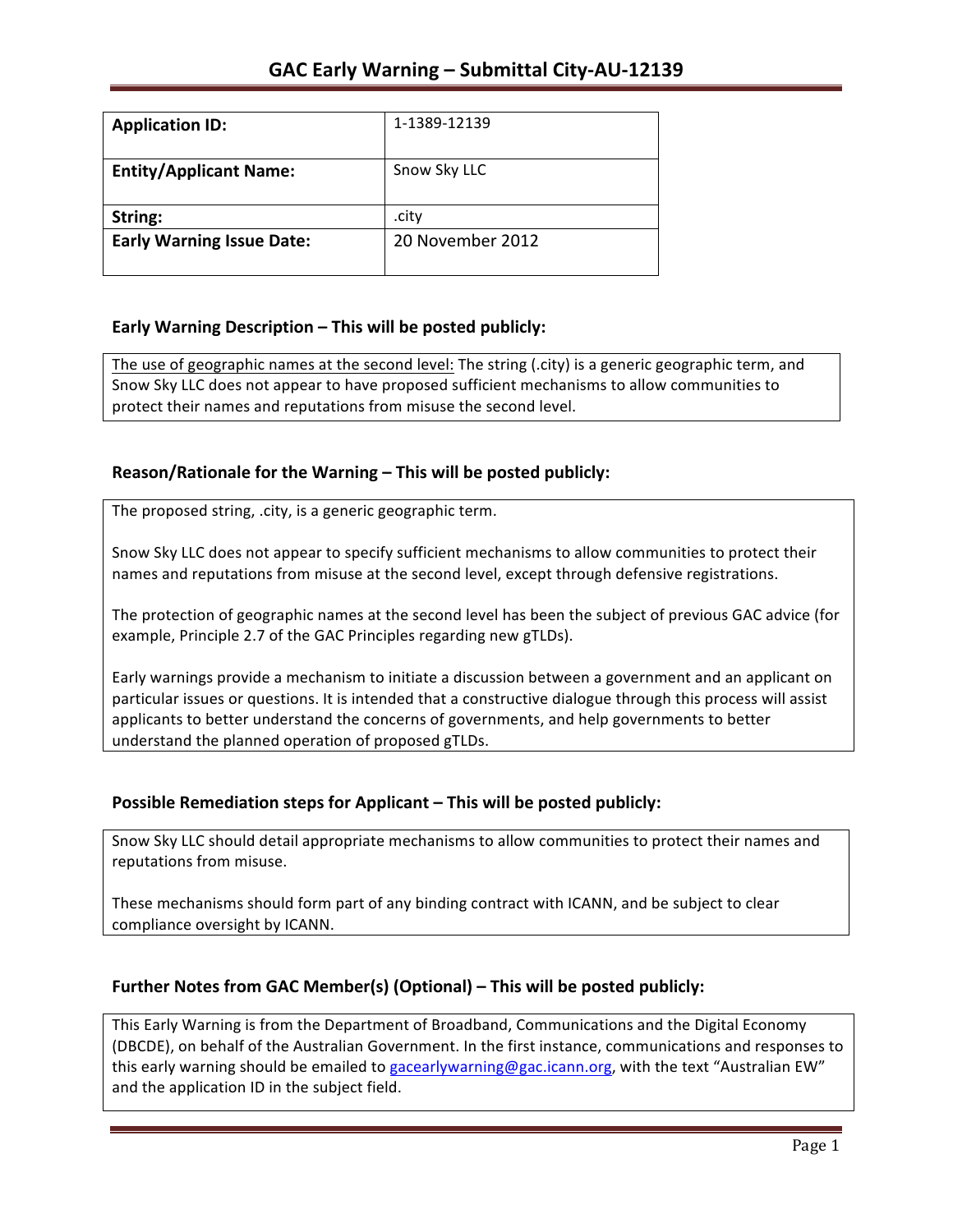| <b>Application ID:</b>           | 1-1389-12139     |
|----------------------------------|------------------|
| <b>Entity/Applicant Name:</b>    | Snow Sky LLC     |
| String:                          | .city            |
| <b>Early Warning Issue Date:</b> | 20 November 2012 |
|                                  |                  |

## **Early Warning Description – This will be posted publicly:**

The use of geographic names at the second level: The string (.city) is a generic geographic term, and Snow Sky LLC does not appear to have proposed sufficient mechanisms to allow communities to protect their names and reputations from misuse the second level.

## **Reason/Rationale for the Warning – This will be posted publicly:**

The proposed string, .city, is a generic geographic term.

Snow Sky LLC does not appear to specify sufficient mechanisms to allow communities to protect their names and reputations from misuse at the second level, except through defensive registrations.

The protection of geographic names at the second level has been the subject of previous GAC advice (for example, Principle 2.7 of the GAC Principles regarding new gTLDs).

Early warnings provide a mechanism to initiate a discussion between a government and an applicant on particular issues or questions. It is intended that a constructive dialogue through this process will assist applicants to better understand the concerns of governments, and help governments to better understand the planned operation of proposed gTLDs.

### **Possible Remediation steps for Applicant – This will be posted publicly:**

Snow Sky LLC should detail appropriate mechanisms to allow communities to protect their names and reputations from misuse.

These mechanisms should form part of any binding contract with ICANN, and be subject to clear compliance oversight by ICANN.

### **Further Notes from GAC Member(s) (Optional) – This will be posted publicly:**

This Early Warning is from the Department of Broadband, Communications and the Digital Economy (DBCDE), on behalf of the Australian Government. In the first instance, communications and responses to this early warning should be emailed to gacearlywarning@gac.icann.org, with the text "Australian EW" and the application ID in the subject field.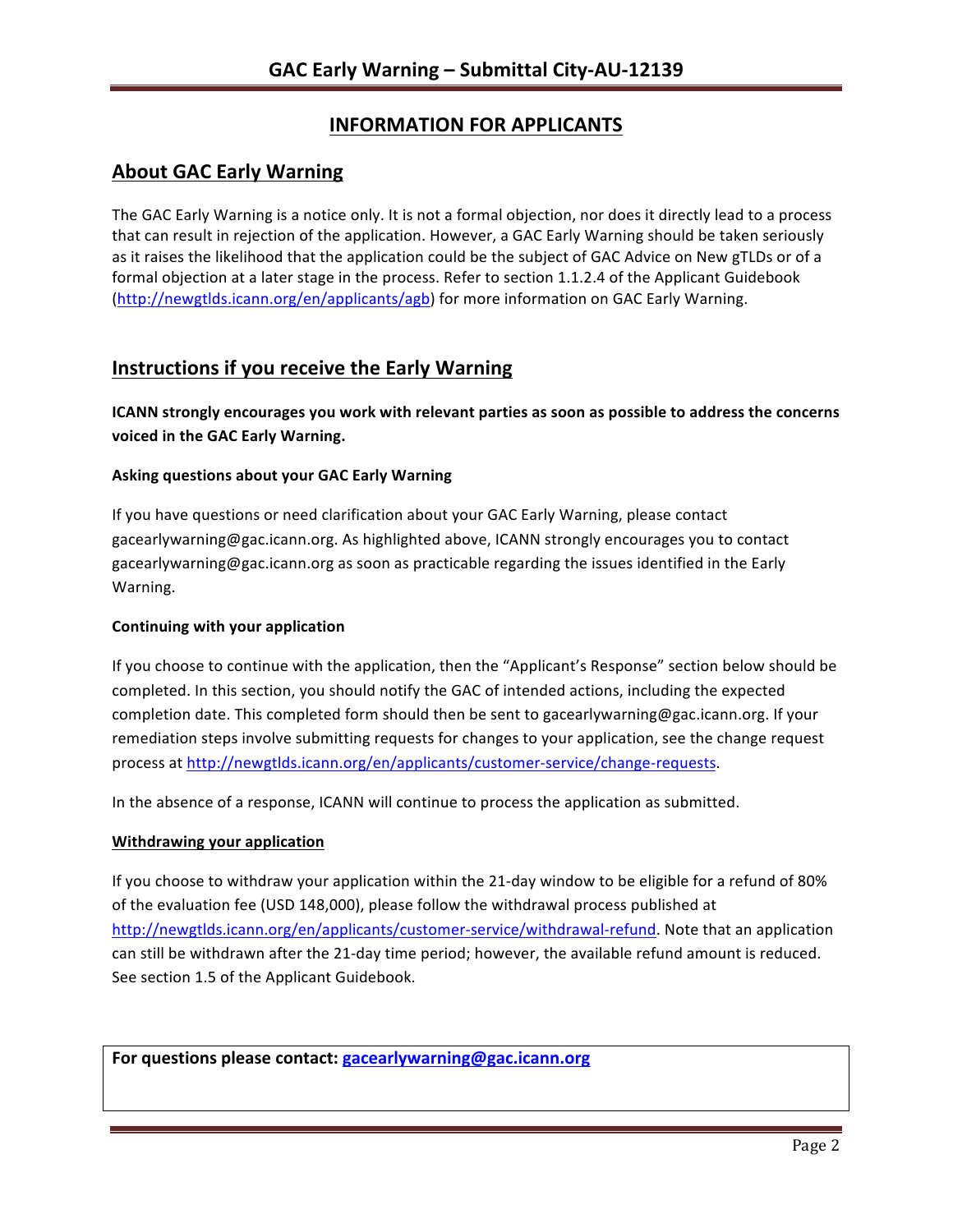# **INFORMATION FOR APPLICANTS**

# **About GAC Early Warning**

The GAC Early Warning is a notice only. It is not a formal objection, nor does it directly lead to a process that can result in rejection of the application. However, a GAC Early Warning should be taken seriously as it raises the likelihood that the application could be the subject of GAC Advice on New gTLDs or of a formal objection at a later stage in the process. Refer to section 1.1.2.4 of the Applicant Guidebook (http://newgtlds.icann.org/en/applicants/agb) for more information on GAC Early Warning.

## **Instructions if you receive the Early Warning**

**ICANN** strongly encourages you work with relevant parties as soon as possible to address the concerns **voiced in the GAC Early Warning.** 

#### **Asking questions about your GAC Early Warning**

If you have questions or need clarification about your GAC Early Warning, please contact gacearlywarning@gac.icann.org. As highlighted above, ICANN strongly encourages you to contact gacearlywarning@gac.icann.org as soon as practicable regarding the issues identified in the Early Warning. 

#### **Continuing with your application**

If you choose to continue with the application, then the "Applicant's Response" section below should be completed. In this section, you should notify the GAC of intended actions, including the expected completion date. This completed form should then be sent to gacearlywarning@gac.icann.org. If your remediation steps involve submitting requests for changes to your application, see the change request process at http://newgtlds.icann.org/en/applicants/customer-service/change-requests.

In the absence of a response, ICANN will continue to process the application as submitted.

#### **Withdrawing your application**

If you choose to withdraw your application within the 21-day window to be eligible for a refund of 80% of the evaluation fee (USD 148,000), please follow the withdrawal process published at http://newgtlds.icann.org/en/applicants/customer-service/withdrawal-refund. Note that an application can still be withdrawn after the 21-day time period; however, the available refund amount is reduced. See section 1.5 of the Applicant Guidebook.

For questions please contact: gacearlywarning@gac.icann.org